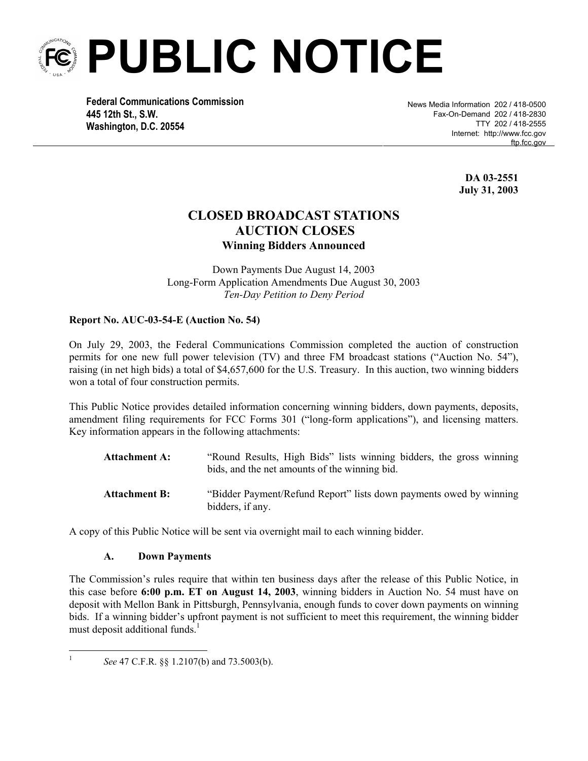

 **Federal Communications Commission 445 12th St., S.W. Washington, D.C. 20554**

News Media Information 202 / 418-0500 Fax-On-Demand 202 / 418-2830 TTY 202 / 418-2555 Internet: http://www.fcc.gov ftp.fcc.gov

> **DA 03-2551 July 31, 2003**

# **CLOSED BROADCAST STATIONS AUCTION CLOSES Winning Bidders Announced**

Down Payments Due August 14, 2003 Long-Form Application Amendments Due August 30, 2003 *Ten-Day Petition to Deny Period* 

## **Report No. AUC-03-54-E (Auction No. 54)**

On July 29, 2003, the Federal Communications Commission completed the auction of construction permits for one new full power television (TV) and three FM broadcast stations ("Auction No. 54"), raising (in net high bids) a total of \$4,657,600 for the U.S. Treasury. In this auction, two winning bidders won a total of four construction permits.

This Public Notice provides detailed information concerning winning bidders, down payments, deposits, amendment filing requirements for FCC Forms 301 ("long-form applications"), and licensing matters. Key information appears in the following attachments:

| <b>Attachment A:</b> | "Round Results, High Bids" lists winning bidders, the gross winning<br>bids, and the net amounts of the winning bid. |
|----------------------|----------------------------------------------------------------------------------------------------------------------|
| <b>Attachment B:</b> | "Bidder Payment/Refund Report" lists down payments owed by winning<br>bidders, if any.                               |

A copy of this Public Notice will be sent via overnight mail to each winning bidder.

### **A. Down Payments**

The Commission's rules require that within ten business days after the release of this Public Notice, in this case before **6:00 p.m. ET on August 14, 2003**, winning bidders in Auction No. 54 must have on deposit with Mellon Bank in Pittsburgh, Pennsylvania, enough funds to cover down payments on winning bids. If a winning bidder's upfront payment is not sufficient to meet this requirement, the winning bidder must deposit additional funds.<sup>1</sup>

 $\frac{1}{1}$ *See* 47 C.F.R. §§ 1.2107(b) and 73.5003(b).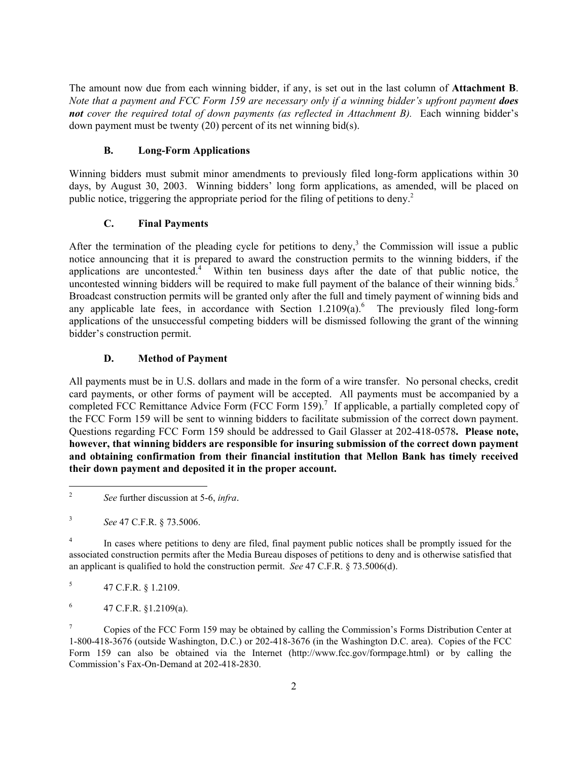The amount now due from each winning bidder, if any, is set out in the last column of **Attachment B**. *Note that a payment and FCC Form 159 are necessary only if a winning bidder's upfront payment does*  not cover the required total of down payments (as reflected in Attachment B). Each winning bidder's down payment must be twenty (20) percent of its net winning bid(s).

# **B. Long-Form Applications**

Winning bidders must submit minor amendments to previously filed long-form applications within 30 days, by August 30, 2003. Winning bidders' long form applications, as amended, will be placed on public notice, triggering the appropriate period for the filing of petitions to deny.<sup>2</sup>

# **C. Final Payments**

After the termination of the pleading cycle for petitions to deny,<sup>3</sup> the Commission will issue a public notice announcing that it is prepared to award the construction permits to the winning bidders, if the applications are uncontested.<sup>4</sup> Within ten business days after the date of that public notice, the uncontested winning bidders will be required to make full payment of the balance of their winning bids.<sup>5</sup> Broadcast construction permits will be granted only after the full and timely payment of winning bids and any applicable late fees, in accordance with Section  $1.2109(a)$ .<sup>6</sup> The previously filed long-form applications of the unsuccessful competing bidders will be dismissed following the grant of the winning bidder's construction permit.

# **D. Method of Payment**

All payments must be in U.S. dollars and made in the form of a wire transfer. No personal checks, credit card payments, or other forms of payment will be accepted. All payments must be accompanied by a completed FCC Remittance Advice Form  $(FCC$  Form  $159)$ .<sup>7</sup> If applicable, a partially completed copy of the FCC Form 159 will be sent to winning bidders to facilitate submission of the correct down payment. Questions regarding FCC Form 159 should be addressed to Gail Glasser at 202-418-0578**. Please note, however, that winning bidders are responsible for insuring submission of the correct down payment and obtaining confirmation from their financial institution that Mellon Bank has timely received their down payment and deposited it in the proper account.**

1

5 47 C.F.R. § 1.2109.

6 47 C.F.R. §1.2109(a).

7 Copies of the FCC Form 159 may be obtained by calling the Commission's Forms Distribution Center at 1-800-418-3676 (outside Washington, D.C.) or 202-418-3676 (in the Washington D.C. area). Copies of the FCC Form 159 can also be obtained via the Internet (http://www.fcc.gov/formpage.html) or by calling the Commission's Fax-On-Demand at 202-418-2830.

<sup>2</sup> *See* further discussion at 5-6, *infra*.

<sup>3</sup> *See* 47 C.F.R. § 73.5006.

<sup>4</sup> In cases where petitions to deny are filed, final payment public notices shall be promptly issued for the associated construction permits after the Media Bureau disposes of petitions to deny and is otherwise satisfied that an applicant is qualified to hold the construction permit. *See* 47 C.F.R. § 73.5006(d).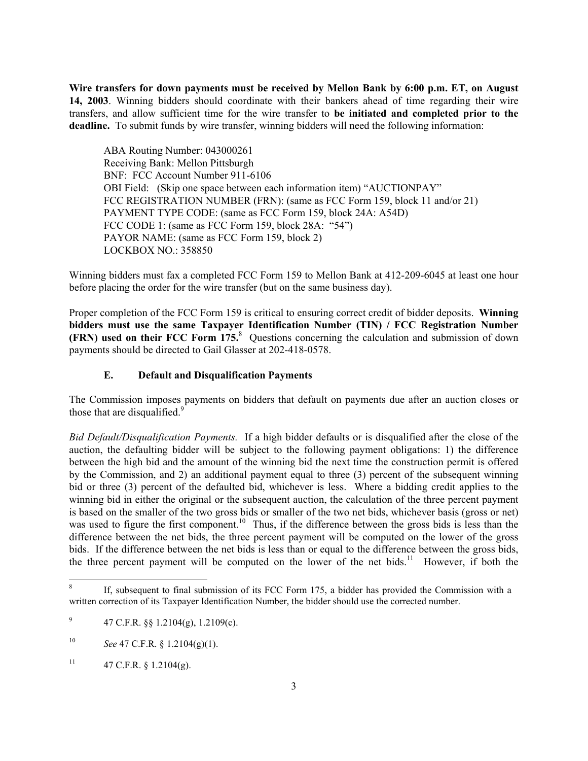**Wire transfers for down payments must be received by Mellon Bank by 6:00 p.m. ET, on August 14, 2003**. Winning bidders should coordinate with their bankers ahead of time regarding their wire transfers, and allow sufficient time for the wire transfer to **be initiated and completed prior to the deadline.** To submit funds by wire transfer, winning bidders will need the following information:

ABA Routing Number: 043000261 Receiving Bank: Mellon Pittsburgh BNF: FCC Account Number 911-6106 OBI Field: (Skip one space between each information item) "AUCTIONPAY" FCC REGISTRATION NUMBER (FRN): (same as FCC Form 159, block 11 and/or 21) PAYMENT TYPE CODE: (same as FCC Form 159, block 24A: A54D) FCC CODE 1: (same as FCC Form 159, block 28A: "54") PAYOR NAME: (same as FCC Form 159, block 2) LOCKBOX NO.: 358850

Winning bidders must fax a completed FCC Form 159 to Mellon Bank at 412-209-6045 at least one hour before placing the order for the wire transfer (but on the same business day).

Proper completion of the FCC Form 159 is critical to ensuring correct credit of bidder deposits. **Winning bidders must use the same Taxpayer Identification Number (TIN) / FCC Registration Number (FRN) used on their FCC Form 175.**<sup>8</sup> Questions concerning the calculation and submission of down payments should be directed to Gail Glasser at 202-418-0578.

### **E. Default and Disqualification Payments**

The Commission imposes payments on bidders that default on payments due after an auction closes or those that are disqualified. $9$ 

*Bid Default/Disqualification Payments.* If a high bidder defaults or is disqualified after the close of the auction, the defaulting bidder will be subject to the following payment obligations: 1) the difference between the high bid and the amount of the winning bid the next time the construction permit is offered by the Commission, and 2) an additional payment equal to three (3) percent of the subsequent winning bid or three (3) percent of the defaulted bid, whichever is less. Where a bidding credit applies to the winning bid in either the original or the subsequent auction, the calculation of the three percent payment is based on the smaller of the two gross bids or smaller of the two net bids, whichever basis (gross or net) was used to figure the first component.<sup>10</sup> Thus, if the difference between the gross bids is less than the difference between the net bids, the three percent payment will be computed on the lower of the gross bids. If the difference between the net bids is less than or equal to the difference between the gross bids, the three percent payment will be computed on the lower of the net bids.<sup>11</sup> However, if both the

 8 If, subsequent to final submission of its FCC Form 175, a bidder has provided the Commission with a written correction of its Taxpayer Identification Number, the bidder should use the corrected number.

<sup>9</sup> 47 C.F.R. §§ 1.2104(g), 1.2109(c).

<sup>10</sup> *See* 47 C.F.R. § 1.2104(g)(1).

<sup>&</sup>lt;sup>11</sup> 47 C.F.R. § 1.2104(g).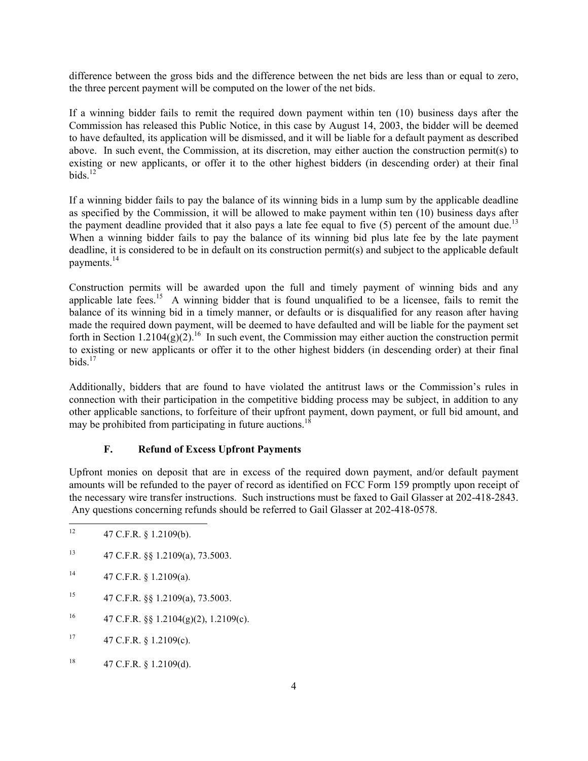difference between the gross bids and the difference between the net bids are less than or equal to zero, the three percent payment will be computed on the lower of the net bids.

If a winning bidder fails to remit the required down payment within ten (10) business days after the Commission has released this Public Notice, in this case by August 14, 2003, the bidder will be deemed to have defaulted, its application will be dismissed, and it will be liable for a default payment as described above. In such event, the Commission, at its discretion, may either auction the construction permit(s) to existing or new applicants, or offer it to the other highest bidders (in descending order) at their final bids. $^{12}$ 

If a winning bidder fails to pay the balance of its winning bids in a lump sum by the applicable deadline as specified by the Commission, it will be allowed to make payment within ten (10) business days after the payment deadline provided that it also pays a late fee equal to five  $(5)$  percent of the amount due.<sup>13</sup> When a winning bidder fails to pay the balance of its winning bid plus late fee by the late payment deadline, it is considered to be in default on its construction permit(s) and subject to the applicable default payments.14

Construction permits will be awarded upon the full and timely payment of winning bids and any applicable late fees.<sup>15</sup> A winning bidder that is found unqualified to be a licensee, fails to remit the balance of its winning bid in a timely manner, or defaults or is disqualified for any reason after having made the required down payment, will be deemed to have defaulted and will be liable for the payment set forth in Section 1.2104(g)(2).<sup>16</sup> In such event, the Commission may either auction the construction permit to existing or new applicants or offer it to the other highest bidders (in descending order) at their final  $bids$ <sup>17</sup>

Additionally, bidders that are found to have violated the antitrust laws or the Commission's rules in connection with their participation in the competitive bidding process may be subject, in addition to any other applicable sanctions, to forfeiture of their upfront payment, down payment, or full bid amount, and may be prohibited from participating in future auctions.<sup>1</sup>

# **F. Refund of Excess Upfront Payments**

Upfront monies on deposit that are in excess of the required down payment, and/or default payment amounts will be refunded to the payer of record as identified on FCC Form 159 promptly upon receipt of the necessary wire transfer instructions. Such instructions must be faxed to Gail Glasser at 202-418-2843. Any questions concerning refunds should be referred to Gail Glasser at 202-418-0578.

- $12$ 12 47 C.F.R. § 1.2109(b).
- 13 47 C.F.R. §§ 1.2109(a), 73.5003.
- $14$  47 C.F.R. § 1.2109(a).
- 15 47 C.F.R. §§ 1.2109(a), 73.5003.
- <sup>16</sup> 47 C.F.R. §§ 1.2104(g)(2), 1.2109(c).
- $17$  47 C.F.R. § 1.2109(c).
- <sup>18</sup> 47 C.F.R. § 1.2109(d).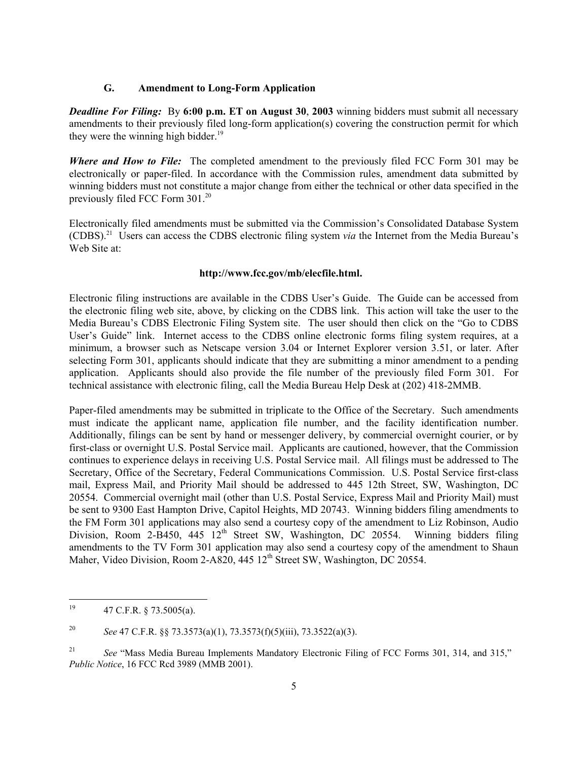#### **G. Amendment to Long-Form Application**

*Deadline For Filing:*By **6:00 p.m. ET on August 30**, **2003** winning bidders must submit all necessary amendments to their previously filed long-form application(s) covering the construction permit for which they were the winning high bidder. $19$ 

*Where and How to File:* The completed amendment to the previously filed FCC Form 301 may be electronically or paper-filed. In accordance with the Commission rules, amendment data submitted by winning bidders must not constitute a major change from either the technical or other data specified in the previously filed FCC Form 301.20

Electronically filed amendments must be submitted via the Commission's Consolidated Database System (CDBS).21 Users can access the CDBS electronic filing system *via* the Internet from the Media Bureau's Web Site at:

#### **http://www.fcc.gov/mb/elecfile.html.**

Electronic filing instructions are available in the CDBS User's Guide. The Guide can be accessed from the electronic filing web site, above, by clicking on the CDBS link. This action will take the user to the Media Bureau's CDBS Electronic Filing System site. The user should then click on the "Go to CDBS User's Guide" link. Internet access to the CDBS online electronic forms filing system requires, at a minimum, a browser such as Netscape version 3.04 or Internet Explorer version 3.51, or later. After selecting Form 301, applicants should indicate that they are submitting a minor amendment to a pending application. Applicants should also provide the file number of the previously filed Form 301. For technical assistance with electronic filing, call the Media Bureau Help Desk at (202) 418-2MMB.

Paper-filed amendments may be submitted in triplicate to the Office of the Secretary. Such amendments must indicate the applicant name, application file number, and the facility identification number. Additionally, filings can be sent by hand or messenger delivery, by commercial overnight courier, or by first-class or overnight U.S. Postal Service mail. Applicants are cautioned, however, that the Commission continues to experience delays in receiving U.S. Postal Service mail. All filings must be addressed to The Secretary, Office of the Secretary, Federal Communications Commission. U.S. Postal Service first-class mail, Express Mail, and Priority Mail should be addressed to 445 12th Street, SW, Washington, DC 20554. Commercial overnight mail (other than U.S. Postal Service, Express Mail and Priority Mail) must be sent to 9300 East Hampton Drive, Capitol Heights, MD 20743. Winning bidders filing amendments to the FM Form 301 applications may also send a courtesy copy of the amendment to Liz Robinson, Audio Division, Room  $2-\overline{B}450$ ,  $445 \overline{12}$ <sup>th</sup> Street SW, Washington, DC 20554. Winning bidders filing amendments to the TV Form 301 application may also send a courtesy copy of the amendment to Shaun Maher, Video Division, Room 2-A820, 445 12<sup>th</sup> Street SW, Washington, DC 20554.

 $19\,$ 19 47 C.F.R. § 73.5005(a).

<sup>20</sup> *See* 47 C.F.R. §§ 73.3573(a)(1), 73.3573(f)(5)(iii), 73.3522(a)(3).

<sup>21</sup> *See* "Mass Media Bureau Implements Mandatory Electronic Filing of FCC Forms 301, 314, and 315," *Public Notice*, 16 FCC Rcd 3989 (MMB 2001).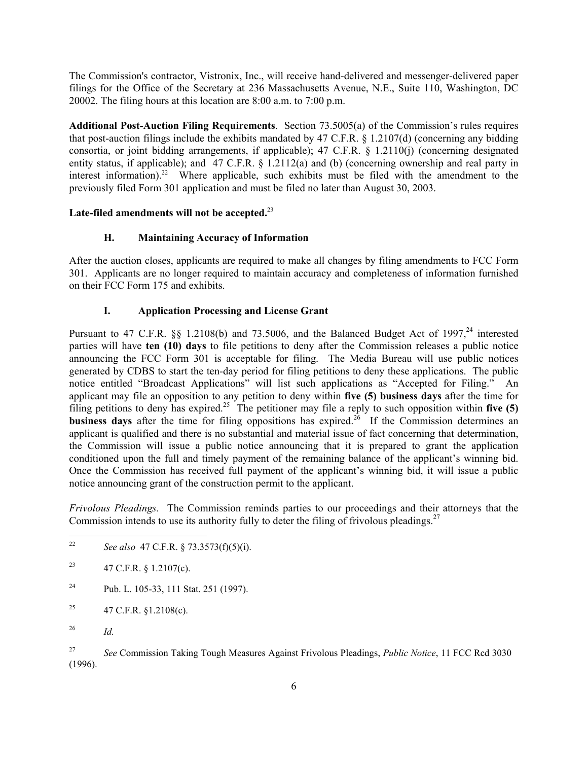The Commission's contractor, Vistronix, Inc., will receive hand-delivered and messenger-delivered paper filings for the Office of the Secretary at 236 Massachusetts Avenue, N.E., Suite 110, Washington, DC 20002. The filing hours at this location are 8:00 a.m. to 7:00 p.m.

**Additional Post-Auction Filing Requirements**. Section 73.5005(a) of the Commission's rules requires that post-auction filings include the exhibits mandated by 47 C.F.R. § 1.2107(d) (concerning any bidding consortia, or joint bidding arrangements, if applicable); 47 C.F.R. § 1.2110(j) (concerning designated entity status, if applicable); and 47 C.F.R. § 1.2112(a) and (b) (concerning ownership and real party in interest information).<sup>22</sup> Where applicable, such exhibits must be filed with the amendment to the previously filed Form 301 application and must be filed no later than August 30, 2003.

## **Late-filed amendments will not be accepted.**<sup>23</sup>

## **H. Maintaining Accuracy of Information**

After the auction closes, applicants are required to make all changes by filing amendments to FCC Form 301. Applicants are no longer required to maintain accuracy and completeness of information furnished on their FCC Form 175 and exhibits.

## **I. Application Processing and License Grant**

Pursuant to 47 C.F.R. §§ 1.2108(b) and 73.5006, and the Balanced Budget Act of 1997,<sup>24</sup> interested parties will have **ten (10) days** to file petitions to deny after the Commission releases a public notice announcing the FCC Form 301 is acceptable for filing. The Media Bureau will use public notices generated by CDBS to start the ten-day period for filing petitions to deny these applications. The public notice entitled "Broadcast Applications" will list such applications as "Accepted for Filing." An applicant may file an opposition to any petition to deny within **five (5) business days** after the time for filing petitions to deny has expired.<sup>25</sup> The petitioner may file a reply to such opposition within **five (5) business days** after the time for filing oppositions has expired.<sup>26</sup> If the Commission determines an applicant is qualified and there is no substantial and material issue of fact concerning that determination, the Commission will issue a public notice announcing that it is prepared to grant the application conditioned upon the full and timely payment of the remaining balance of the applicant's winning bid. Once the Commission has received full payment of the applicant's winning bid, it will issue a public notice announcing grant of the construction permit to the applicant.

*Frivolous Pleadings.* The Commission reminds parties to our proceedings and their attorneys that the Commission intends to use its authority fully to deter the filing of frivolous pleadings.<sup>27</sup>

- 24 Pub. L. 105-33, 111 Stat. 251 (1997).
- <sup>25</sup> 47 C.F.R. §1.2108(c).
- 26 *Id.*

27 *See* Commission Taking Tough Measures Against Frivolous Pleadings, *Public Notice*, 11 FCC Rcd 3030 (1996).

 $22\,$ 22 *See also* 47 C.F.R. § 73.3573(f)(5)(i).

<sup>&</sup>lt;sup>23</sup> 47 C.F.R. § 1.2107(c).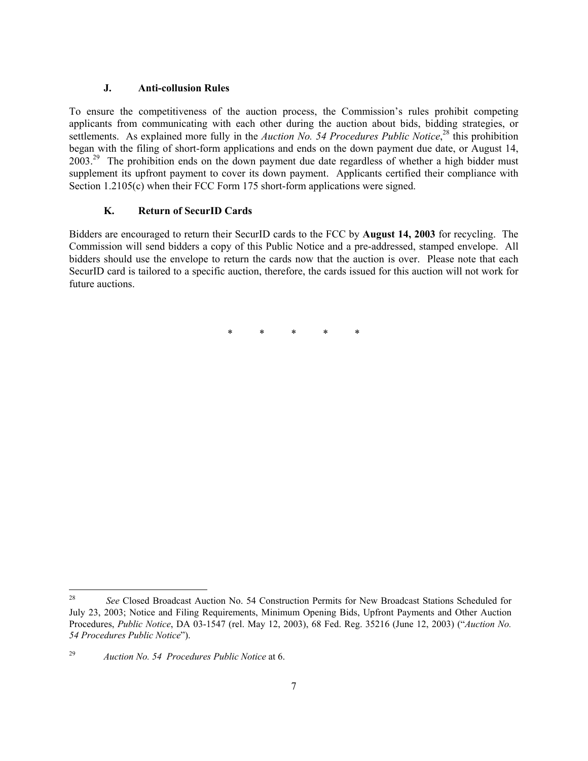### **J. Anti-collusion Rules**

To ensure the competitiveness of the auction process, the Commission's rules prohibit competing applicants from communicating with each other during the auction about bids, bidding strategies, or settlements. As explained more fully in the *Auction No.* 54 Procedures Public Notice,<sup>28</sup> this prohibition began with the filing of short-form applications and ends on the down payment due date, or August 14,  $2003<sup>29</sup>$  The prohibition ends on the down payment due date regardless of whether a high bidder must supplement its upfront payment to cover its down payment. Applicants certified their compliance with Section 1.2105(c) when their FCC Form 175 short-form applications were signed.

### **K. Return of SecurID Cards**

Bidders are encouraged to return their SecurID cards to the FCC by **August 14, 2003** for recycling. The Commission will send bidders a copy of this Public Notice and a pre-addressed, stamped envelope. All bidders should use the envelope to return the cards now that the auction is over. Please note that each SecurID card is tailored to a specific auction, therefore, the cards issued for this auction will not work for future auctions.

\* \* \* \* \*

<sup>28</sup> <sup>28</sup> *See* Closed Broadcast Auction No. 54 Construction Permits for New Broadcast Stations Scheduled for July 23, 2003; Notice and Filing Requirements, Minimum Opening Bids, Upfront Payments and Other Auction Procedures, *Public Notice*, DA 03-1547 (rel. May 12, 2003), 68 Fed. Reg. 35216 (June 12, 2003) ("*Auction No. 54 Procedures Public Notice*").

<sup>29</sup> *Auction No. 54 Procedures Public Notice* at 6.